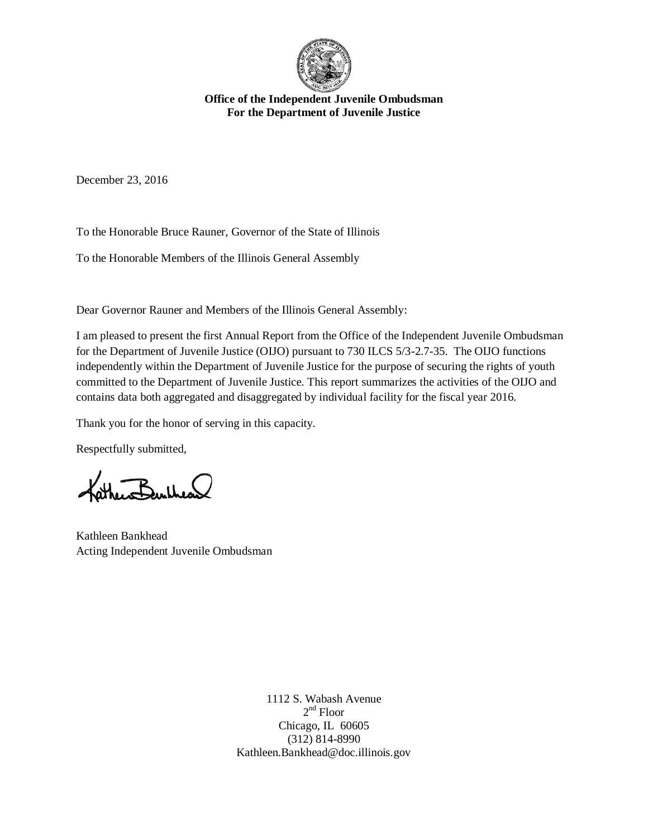

**Office of the Independent Juvenile Ombudsman For the Department of Juvenile Justice** 

December 23, 2016

To the Honorable Bruce Rauner, Governor of the State of Illinois

To the Honorable Members of the Illinois General Assembly

Dear Governor Rauner and Members of the Illinois General Assembly:

I am pleased to present the first Annual Report from the Office of the Independent Juvenile Ombudsman for the Department of Juvenile Justice (OIJO) pursuant to 730 ILCS 5/3-2.7-35. The OIJO functions independently within the Department of Juvenile Justice for the purpose of securing the rights of youth committed to the Department of Juvenile Justice. This report summarizes the activities of the OIJO and contains data both aggregated and disaggregated by individual facility for the fiscal year 2016.

Thank you for the honor of serving in this capacity.

Respectfully submitted,

the Burtheas

Kathleen Bankhead Acting Independent Juvenile Ombudsman

1112 S. Wabash Avenue 2<sup>nd</sup> Floor Chicago, IL 60605 (312) 814-8990 Kathleen.Bankhead@doc.illinois.gov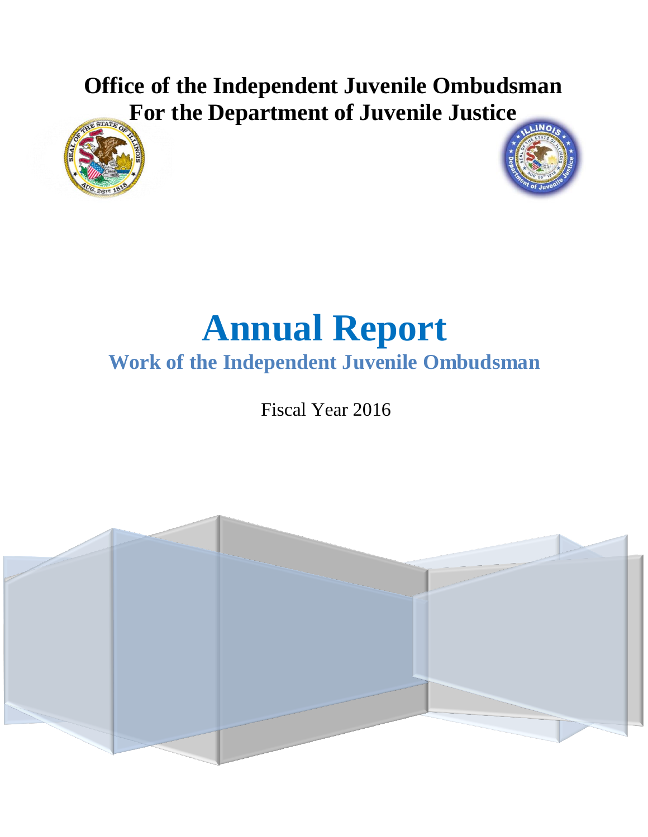# **Office of the Independent Juvenile Ombudsman For the Department of Juvenile Justice**





# **Annual Report Work of the Independent Juvenile Ombudsman**

Fiscal Year 2016

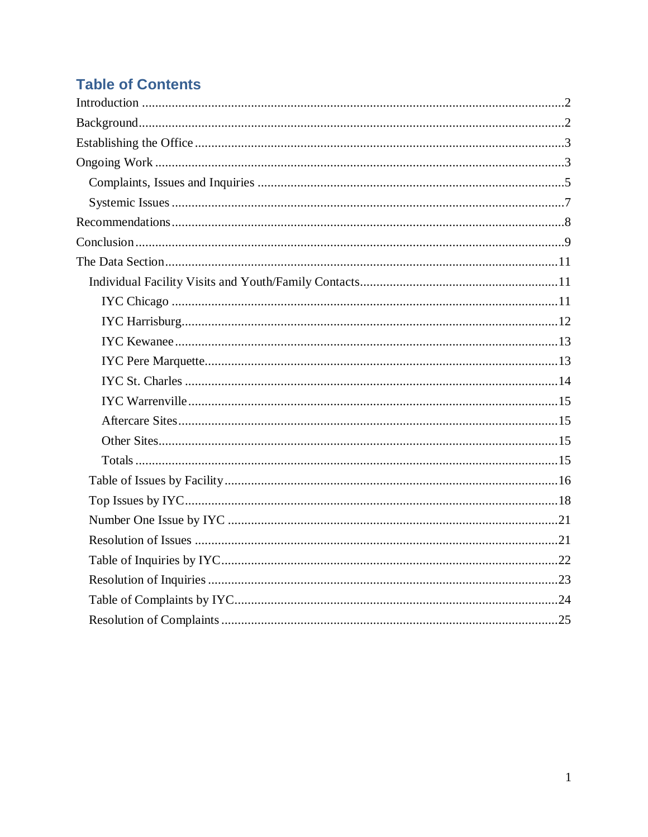# **Table of Contents**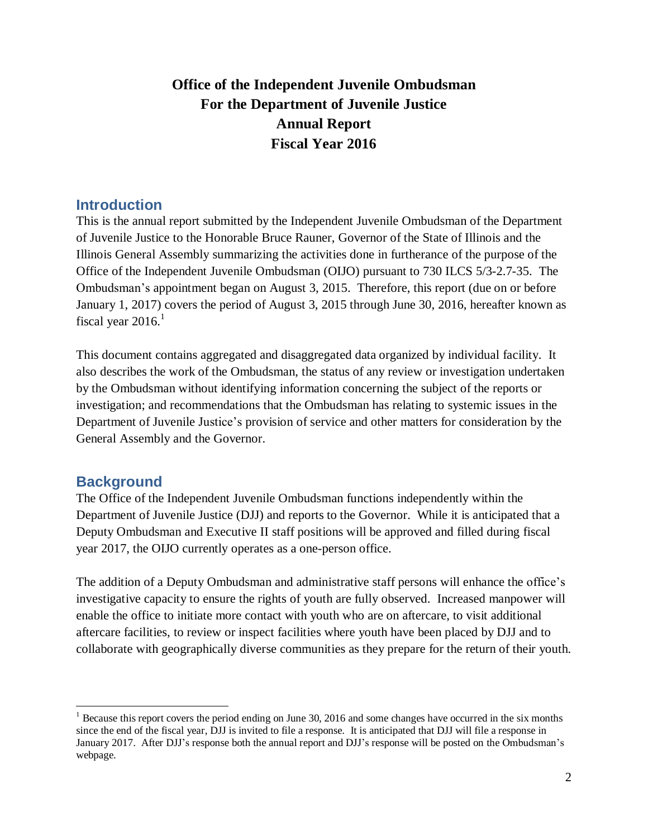## **Office of the Independent Juvenile Ombudsman For the Department of Juvenile Justice Annual Report Fiscal Year 2016**

### <span id="page-3-0"></span>**Introduction**

This is the annual report submitted by the Independent Juvenile Ombudsman of the Department of Juvenile Justice to the Honorable Bruce Rauner, Governor of the State of Illinois and the Illinois General Assembly summarizing the activities done in furtherance of the purpose of the Office of the Independent Juvenile Ombudsman (OIJO) pursuant to 730 ILCS 5/3-2.7-35. The Ombudsman's appointment began on August 3, 2015. Therefore, this report (due on or before January 1, 2017) covers the period of August 3, 2015 through June 30, 2016, hereafter known as fiscal year  $2016$ .<sup>1</sup>

This document contains aggregated and disaggregated data organized by individual facility. It also describes the work of the Ombudsman, the status of any review or investigation undertaken by the Ombudsman without identifying information concerning the subject of the reports or investigation; and recommendations that the Ombudsman has relating to systemic issues in the Department of Juvenile Justice's provision of service and other matters for consideration by the General Assembly and the Governor.

### <span id="page-3-1"></span>**Background**

 $\overline{a}$ 

The Office of the Independent Juvenile Ombudsman functions independently within the Department of Juvenile Justice (DJJ) and reports to the Governor. While it is anticipated that a Deputy Ombudsman and Executive II staff positions will be approved and filled during fiscal year 2017, the OIJO currently operates as a one-person office.

The addition of a Deputy Ombudsman and administrative staff persons will enhance the office's investigative capacity to ensure the rights of youth are fully observed. Increased manpower will enable the office to initiate more contact with youth who are on aftercare, to visit additional aftercare facilities, to review or inspect facilities where youth have been placed by DJJ and to collaborate with geographically diverse communities as they prepare for the return of their youth.

 $<sup>1</sup>$  Because this report covers the period ending on June 30, 2016 and some changes have occurred in the six months</sup> since the end of the fiscal year, DJJ is invited to file a response. It is anticipated that DJJ will file a response in January 2017. After DJJ's response both the annual report and DJJ's response will be posted on the Ombudsman's webpage.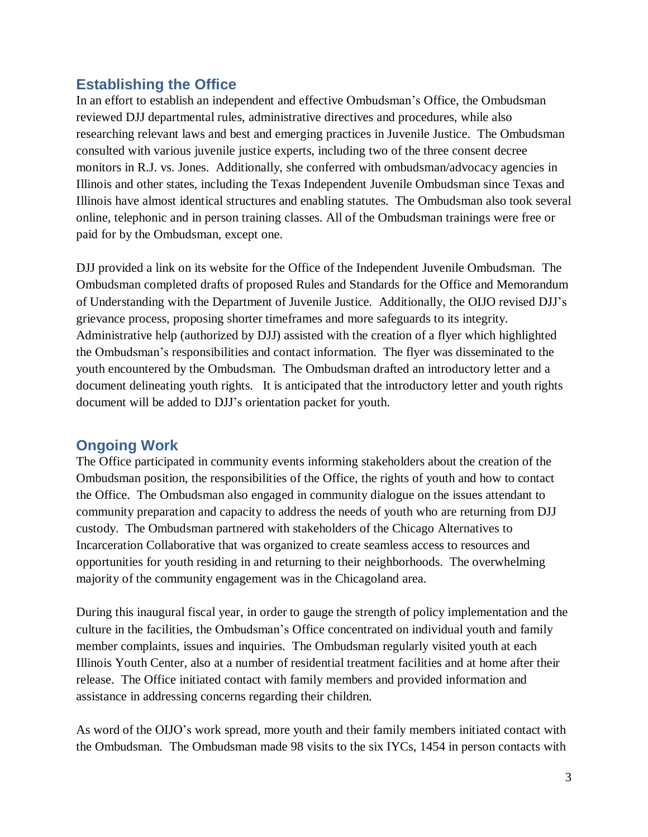### <span id="page-4-0"></span>**Establishing the Office**

In an effort to establish an independent and effective Ombudsman's Office, the Ombudsman reviewed DJJ departmental rules, administrative directives and procedures, while also researching relevant laws and best and emerging practices in Juvenile Justice. The Ombudsman consulted with various juvenile justice experts, including two of the three consent decree monitors in R.J. vs. Jones. Additionally, she conferred with ombudsman/advocacy agencies in Illinois and other states, including the Texas Independent Juvenile Ombudsman since Texas and Illinois have almost identical structures and enabling statutes. The Ombudsman also took several online, telephonic and in person training classes. All of the Ombudsman trainings were free or paid for by the Ombudsman, except one.

DJJ provided a link on its website for the Office of the Independent Juvenile Ombudsman. The Ombudsman completed drafts of proposed Rules and Standards for the Office and Memorandum of Understanding with the Department of Juvenile Justice. Additionally, the OIJO revised DJJ's grievance process, proposing shorter timeframes and more safeguards to its integrity. Administrative help (authorized by DJJ) assisted with the creation of a flyer which highlighted the Ombudsman's responsibilities and contact information. The flyer was disseminated to the youth encountered by the Ombudsman. The Ombudsman drafted an introductory letter and a document delineating youth rights. It is anticipated that the introductory letter and youth rights document will be added to DJJ's orientation packet for youth.

### <span id="page-4-1"></span>**Ongoing Work**

The Office participated in community events informing stakeholders about the creation of the Ombudsman position, the responsibilities of the Office, the rights of youth and how to contact the Office. The Ombudsman also engaged in community dialogue on the issues attendant to community preparation and capacity to address the needs of youth who are returning from DJJ custody. The Ombudsman partnered with stakeholders of the Chicago Alternatives to Incarceration Collaborative that was organized to create seamless access to resources and opportunities for youth residing in and returning to their neighborhoods. The overwhelming majority of the community engagement was in the Chicagoland area.

During this inaugural fiscal year, in order to gauge the strength of policy implementation and the culture in the facilities, the Ombudsman's Office concentrated on individual youth and family member complaints, issues and inquiries. The Ombudsman regularly visited youth at each Illinois Youth Center, also at a number of residential treatment facilities and at home after their release. The Office initiated contact with family members and provided information and assistance in addressing concerns regarding their children.

As word of the OIJO's work spread, more youth and their family members initiated contact with the Ombudsman. The Ombudsman made 98 visits to the six IYCs, 1454 in person contacts with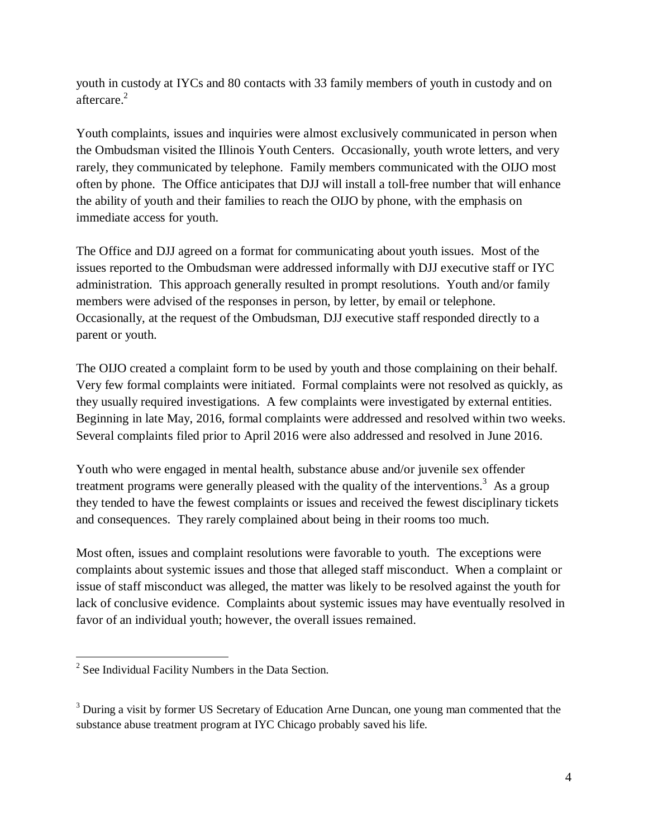youth in custody at IYCs and 80 contacts with 33 family members of youth in custody and on aftercare. 2

Youth complaints, issues and inquiries were almost exclusively communicated in person when the Ombudsman visited the Illinois Youth Centers. Occasionally, youth wrote letters, and very rarely, they communicated by telephone. Family members communicated with the OIJO most often by phone. The Office anticipates that DJJ will install a toll-free number that will enhance the ability of youth and their families to reach the OIJO by phone, with the emphasis on immediate access for youth.

The Office and DJJ agreed on a format for communicating about youth issues. Most of the issues reported to the Ombudsman were addressed informally with DJJ executive staff or IYC administration. This approach generally resulted in prompt resolutions. Youth and/or family members were advised of the responses in person, by letter, by email or telephone. Occasionally, at the request of the Ombudsman, DJJ executive staff responded directly to a parent or youth.

The OIJO created a complaint form to be used by youth and those complaining on their behalf. Very few formal complaints were initiated. Formal complaints were not resolved as quickly, as they usually required investigations. A few complaints were investigated by external entities. Beginning in late May, 2016, formal complaints were addressed and resolved within two weeks. Several complaints filed prior to April 2016 were also addressed and resolved in June 2016.

Youth who were engaged in mental health, substance abuse and/or juvenile sex offender treatment programs were generally pleased with the quality of the interventions.<sup>3</sup> As a group they tended to have the fewest complaints or issues and received the fewest disciplinary tickets and consequences. They rarely complained about being in their rooms too much.

Most often, issues and complaint resolutions were favorable to youth. The exceptions were complaints about systemic issues and those that alleged staff misconduct. When a complaint or issue of staff misconduct was alleged, the matter was likely to be resolved against the youth for lack of conclusive evidence. Complaints about systemic issues may have eventually resolved in favor of an individual youth; however, the overall issues remained.

 $\overline{a}$ 

 $2^2$  See Individual Facility Numbers in the Data Section.

<sup>&</sup>lt;sup>3</sup> During a visit by former US Secretary of Education Arne Duncan, one young man commented that the substance abuse treatment program at IYC Chicago probably saved his life.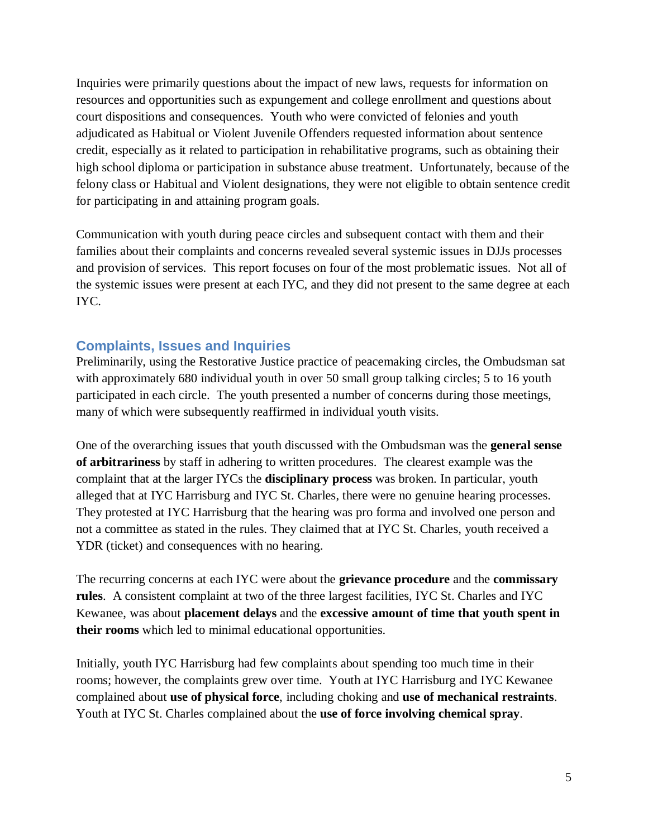Inquiries were primarily questions about the impact of new laws, requests for information on resources and opportunities such as expungement and college enrollment and questions about court dispositions and consequences. Youth who were convicted of felonies and youth adjudicated as Habitual or Violent Juvenile Offenders requested information about sentence credit, especially as it related to participation in rehabilitative programs, such as obtaining their high school diploma or participation in substance abuse treatment. Unfortunately, because of the felony class or Habitual and Violent designations, they were not eligible to obtain sentence credit for participating in and attaining program goals.

Communication with youth during peace circles and subsequent contact with them and their families about their complaints and concerns revealed several systemic issues in DJJs processes and provision of services. This report focuses on four of the most problematic issues. Not all of the systemic issues were present at each IYC, and they did not present to the same degree at each IYC.

### <span id="page-6-0"></span>**Complaints, Issues and Inquiries**

Preliminarily, using the Restorative Justice practice of peacemaking circles, the Ombudsman sat with approximately 680 individual youth in over 50 small group talking circles; 5 to 16 youth participated in each circle. The youth presented a number of concerns during those meetings, many of which were subsequently reaffirmed in individual youth visits.

One of the overarching issues that youth discussed with the Ombudsman was the **general sense of arbitrariness** by staff in adhering to written procedures. The clearest example was the complaint that at the larger IYCs the **disciplinary process** was broken. In particular, youth alleged that at IYC Harrisburg and IYC St. Charles, there were no genuine hearing processes. They protested at IYC Harrisburg that the hearing was pro forma and involved one person and not a committee as stated in the rules. They claimed that at IYC St. Charles, youth received a YDR (ticket) and consequences with no hearing.

The recurring concerns at each IYC were about the **grievance procedure** and the **commissary rules**. A consistent complaint at two of the three largest facilities, IYC St. Charles and IYC Kewanee, was about **placement delays** and the **excessive amount of time that youth spent in their rooms** which led to minimal educational opportunities.

Initially, youth IYC Harrisburg had few complaints about spending too much time in their rooms; however, the complaints grew over time. Youth at IYC Harrisburg and IYC Kewanee complained about **use of physical force**, including choking and **use of mechanical restraints**. Youth at IYC St. Charles complained about the **use of force involving chemical spray**.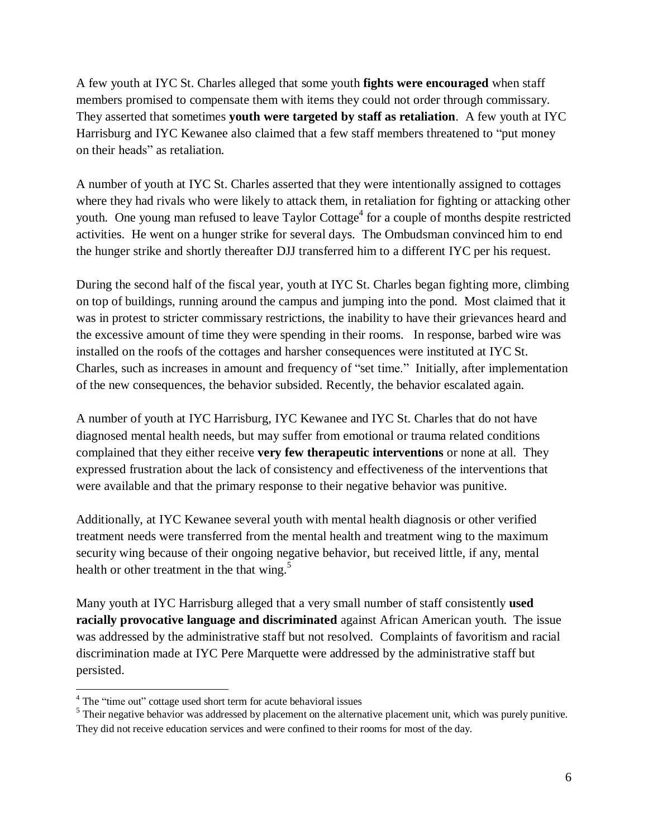A few youth at IYC St. Charles alleged that some youth **fights were encouraged** when staff members promised to compensate them with items they could not order through commissary. They asserted that sometimes **youth were targeted by staff as retaliation**. A few youth at IYC Harrisburg and IYC Kewanee also claimed that a few staff members threatened to "put money on their heads" as retaliation.

A number of youth at IYC St. Charles asserted that they were intentionally assigned to cottages where they had rivals who were likely to attack them, in retaliation for fighting or attacking other youth. One young man refused to leave Taylor Cottage<sup>4</sup> for a couple of months despite restricted activities. He went on a hunger strike for several days. The Ombudsman convinced him to end the hunger strike and shortly thereafter DJJ transferred him to a different IYC per his request.

During the second half of the fiscal year, youth at IYC St. Charles began fighting more, climbing on top of buildings, running around the campus and jumping into the pond. Most claimed that it was in protest to stricter commissary restrictions, the inability to have their grievances heard and the excessive amount of time they were spending in their rooms. In response, barbed wire was installed on the roofs of the cottages and harsher consequences were instituted at IYC St. Charles, such as increases in amount and frequency of "set time." Initially, after implementation of the new consequences, the behavior subsided. Recently, the behavior escalated again.

A number of youth at IYC Harrisburg, IYC Kewanee and IYC St. Charles that do not have diagnosed mental health needs, but may suffer from emotional or trauma related conditions complained that they either receive **very few therapeutic interventions** or none at all. They expressed frustration about the lack of consistency and effectiveness of the interventions that were available and that the primary response to their negative behavior was punitive.

Additionally, at IYC Kewanee several youth with mental health diagnosis or other verified treatment needs were transferred from the mental health and treatment wing to the maximum security wing because of their ongoing negative behavior, but received little, if any, mental health or other treatment in the that wing.<sup>5</sup>

Many youth at IYC Harrisburg alleged that a very small number of staff consistently **used racially provocative language and discriminated** against African American youth. The issue was addressed by the administrative staff but not resolved. Complaints of favoritism and racial discrimination made at IYC Pere Marquette were addressed by the administrative staff but persisted.

 $\overline{a}$ 

 $4$  The "time out" cottage used short term for acute behavioral issues

 $<sup>5</sup>$  Their negative behavior was addressed by placement on the alternative placement unit, which was purely punitive.</sup> They did not receive education services and were confined to their rooms for most of the day.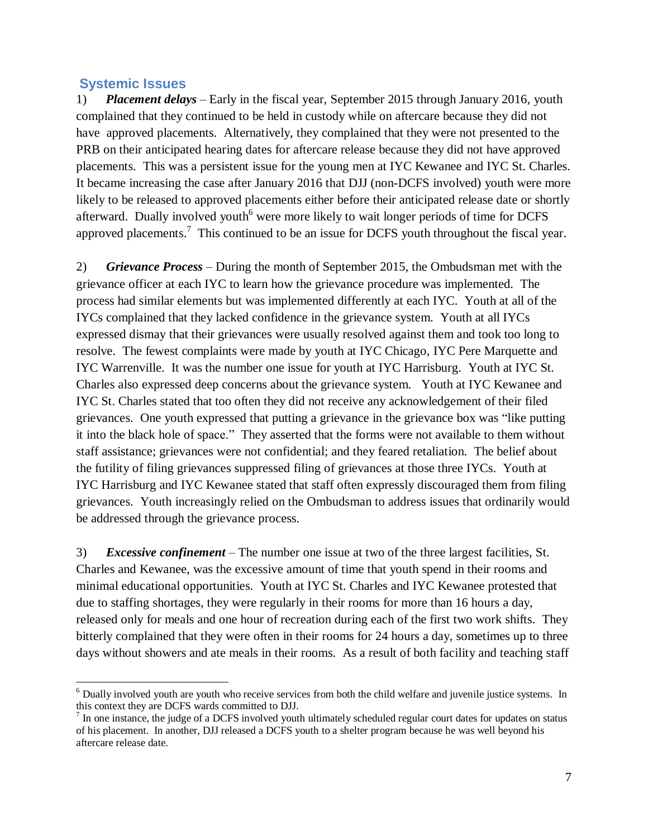### <span id="page-8-0"></span>**Systemic Issues**

 $\overline{a}$ 

1) *Placement delays* – Early in the fiscal year, September 2015 through January 2016, youth complained that they continued to be held in custody while on aftercare because they did not have approved placements. Alternatively, they complained that they were not presented to the PRB on their anticipated hearing dates for aftercare release because they did not have approved placements. This was a persistent issue for the young men at IYC Kewanee and IYC St. Charles. It became increasing the case after January 2016 that DJJ (non-DCFS involved) youth were more likely to be released to approved placements either before their anticipated release date or shortly afterward. Dually involved youth<sup>6</sup> were more likely to wait longer periods of time for DCFS approved placements.<sup>7</sup> This continued to be an issue for DCFS youth throughout the fiscal year.

2) *Grievance Process* – During the month of September 2015, the Ombudsman met with the grievance officer at each IYC to learn how the grievance procedure was implemented. The process had similar elements but was implemented differently at each IYC. Youth at all of the IYCs complained that they lacked confidence in the grievance system. Youth at all IYCs expressed dismay that their grievances were usually resolved against them and took too long to resolve. The fewest complaints were made by youth at IYC Chicago, IYC Pere Marquette and IYC Warrenville. It was the number one issue for youth at IYC Harrisburg. Youth at IYC St. Charles also expressed deep concerns about the grievance system. Youth at IYC Kewanee and IYC St. Charles stated that too often they did not receive any acknowledgement of their filed grievances. One youth expressed that putting a grievance in the grievance box was "like putting it into the black hole of space." They asserted that the forms were not available to them without staff assistance; grievances were not confidential; and they feared retaliation. The belief about the futility of filing grievances suppressed filing of grievances at those three IYCs. Youth at IYC Harrisburg and IYC Kewanee stated that staff often expressly discouraged them from filing grievances. Youth increasingly relied on the Ombudsman to address issues that ordinarily would be addressed through the grievance process.

3) *Excessive confinement* – The number one issue at two of the three largest facilities, St. Charles and Kewanee, was the excessive amount of time that youth spend in their rooms and minimal educational opportunities. Youth at IYC St. Charles and IYC Kewanee protested that due to staffing shortages, they were regularly in their rooms for more than 16 hours a day, released only for meals and one hour of recreation during each of the first two work shifts. They bitterly complained that they were often in their rooms for 24 hours a day, sometimes up to three days without showers and ate meals in their rooms. As a result of both facility and teaching staff

 $6$  Dually involved youth are youth who receive services from both the child welfare and juvenile justice systems. In this context they are DCFS wards committed to DJJ.

 $<sup>7</sup>$  In one instance, the judge of a DCFS involved youth ultimately scheduled regular court dates for updates on status</sup> of his placement. In another, DJJ released a DCFS youth to a shelter program because he was well beyond his aftercare release date.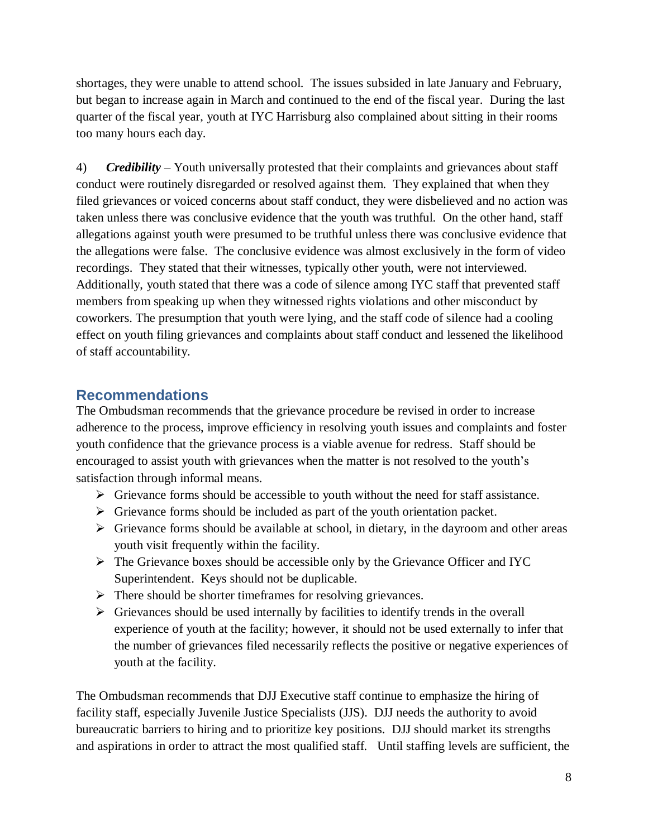shortages, they were unable to attend school. The issues subsided in late January and February, but began to increase again in March and continued to the end of the fiscal year. During the last quarter of the fiscal year, youth at IYC Harrisburg also complained about sitting in their rooms too many hours each day.

4) *Credibility* – Youth universally protested that their complaints and grievances about staff conduct were routinely disregarded or resolved against them. They explained that when they filed grievances or voiced concerns about staff conduct, they were disbelieved and no action was taken unless there was conclusive evidence that the youth was truthful. On the other hand, staff allegations against youth were presumed to be truthful unless there was conclusive evidence that the allegations were false. The conclusive evidence was almost exclusively in the form of video recordings. They stated that their witnesses, typically other youth, were not interviewed. Additionally, youth stated that there was a code of silence among IYC staff that prevented staff members from speaking up when they witnessed rights violations and other misconduct by coworkers. The presumption that youth were lying, and the staff code of silence had a cooling effect on youth filing grievances and complaints about staff conduct and lessened the likelihood of staff accountability.

### <span id="page-9-0"></span>**Recommendations**

The Ombudsman recommends that the grievance procedure be revised in order to increase adherence to the process, improve efficiency in resolving youth issues and complaints and foster youth confidence that the grievance process is a viable avenue for redress. Staff should be encouraged to assist youth with grievances when the matter is not resolved to the youth's satisfaction through informal means.

- $\triangleright$  Grievance forms should be accessible to youth without the need for staff assistance.
- $\triangleright$  Grievance forms should be included as part of the youth orientation packet.
- $\triangleright$  Grievance forms should be available at school, in dietary, in the dayroom and other areas youth visit frequently within the facility.
- $\triangleright$  The Grievance boxes should be accessible only by the Grievance Officer and IYC Superintendent. Keys should not be duplicable.
- $\triangleright$  There should be shorter timeframes for resolving grievances.
- $\triangleright$  Grievances should be used internally by facilities to identify trends in the overall experience of youth at the facility; however, it should not be used externally to infer that the number of grievances filed necessarily reflects the positive or negative experiences of youth at the facility.

The Ombudsman recommends that DJJ Executive staff continue to emphasize the hiring of facility staff, especially Juvenile Justice Specialists (JJS). DJJ needs the authority to avoid bureaucratic barriers to hiring and to prioritize key positions. DJJ should market its strengths and aspirations in order to attract the most qualified staff. Until staffing levels are sufficient, the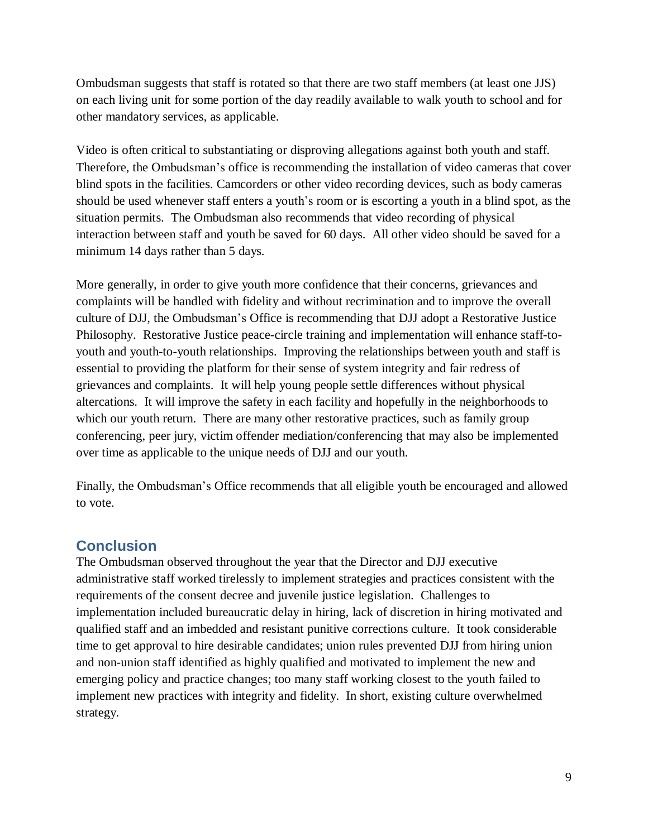Ombudsman suggests that staff is rotated so that there are two staff members (at least one JJS) on each living unit for some portion of the day readily available to walk youth to school and for other mandatory services, as applicable.

Video is often critical to substantiating or disproving allegations against both youth and staff. Therefore, the Ombudsman's office is recommending the installation of video cameras that cover blind spots in the facilities. Camcorders or other video recording devices, such as body cameras should be used whenever staff enters a youth's room or is escorting a youth in a blind spot, as the situation permits. The Ombudsman also recommends that video recording of physical interaction between staff and youth be saved for 60 days. All other video should be saved for a minimum 14 days rather than 5 days.

More generally, in order to give youth more confidence that their concerns, grievances and complaints will be handled with fidelity and without recrimination and to improve the overall culture of DJJ, the Ombudsman's Office is recommending that DJJ adopt a Restorative Justice Philosophy. Restorative Justice peace-circle training and implementation will enhance staff-toyouth and youth-to-youth relationships. Improving the relationships between youth and staff is essential to providing the platform for their sense of system integrity and fair redress of grievances and complaints. It will help young people settle differences without physical altercations. It will improve the safety in each facility and hopefully in the neighborhoods to which our youth return. There are many other restorative practices, such as family group conferencing, peer jury, victim offender mediation/conferencing that may also be implemented over time as applicable to the unique needs of DJJ and our youth.

Finally, the Ombudsman's Office recommends that all eligible youth be encouraged and allowed to vote.

### <span id="page-10-0"></span>**Conclusion**

The Ombudsman observed throughout the year that the Director and DJJ executive administrative staff worked tirelessly to implement strategies and practices consistent with the requirements of the consent decree and juvenile justice legislation. Challenges to implementation included bureaucratic delay in hiring, lack of discretion in hiring motivated and qualified staff and an imbedded and resistant punitive corrections culture. It took considerable time to get approval to hire desirable candidates; union rules prevented DJJ from hiring union and non-union staff identified as highly qualified and motivated to implement the new and emerging policy and practice changes; too many staff working closest to the youth failed to implement new practices with integrity and fidelity. In short, existing culture overwhelmed strategy.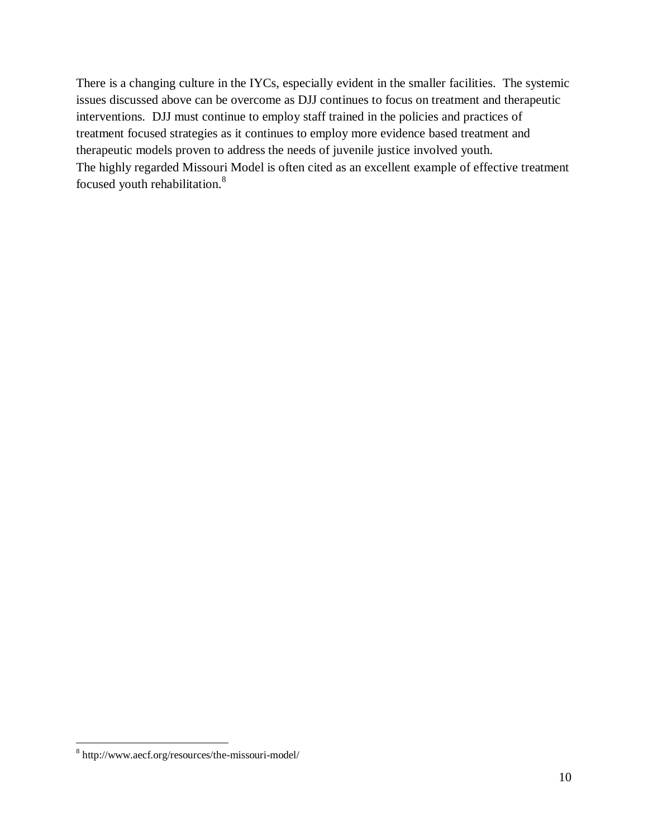There is a changing culture in the IYCs, especially evident in the smaller facilities. The systemic issues discussed above can be overcome as DJJ continues to focus on treatment and therapeutic interventions. DJJ must continue to employ staff trained in the policies and practices of treatment focused strategies as it continues to employ more evidence based treatment and therapeutic models proven to address the needs of juvenile justice involved youth. The highly regarded Missouri Model is often cited as an excellent example of effective treatment focused youth rehabilitation.<sup>8</sup>

 $\overline{a}$ 

<sup>&</sup>lt;sup>8</sup> http://www.aecf.org/resources/the-missouri-model/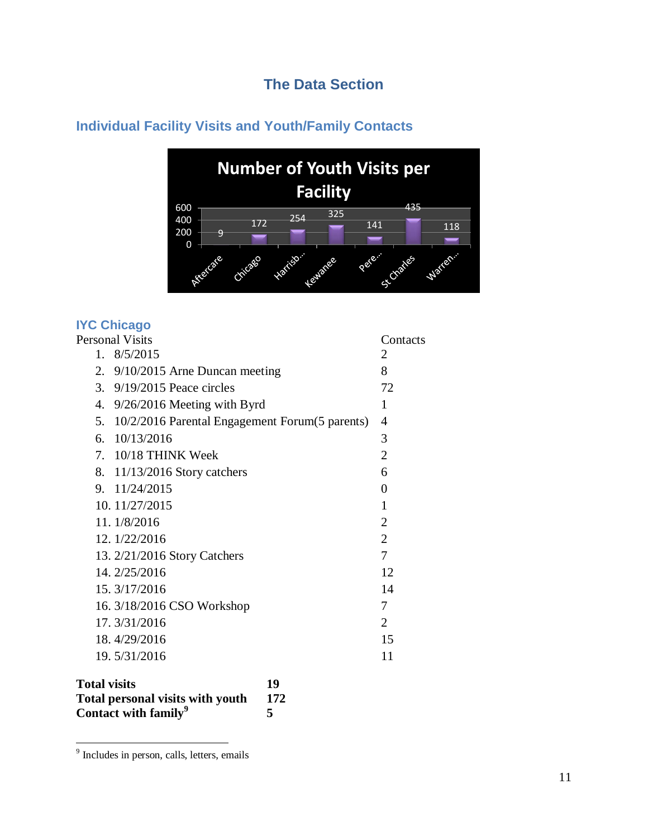## **The Data Section**

### **Number of Youth Visits per Facility**600 435 <sup>172</sup> <sup>254</sup> <sup>325</sup> 400 141 118 200 9 o + Pere... Water. Sc Charles Cricago Harrison Lewanee

## <span id="page-12-1"></span><span id="page-12-0"></span>**Individual Facility Visits and Youth/Family Contacts**

### <span id="page-12-2"></span>**IYC Chicago**

| Personal Visits |  |                                                   | Contacts       |
|-----------------|--|---------------------------------------------------|----------------|
|                 |  | 1.8/5/2015                                        | 2              |
|                 |  | 2. 9/10/2015 Arne Duncan meeting                  | 8              |
|                 |  | 3. 9/19/2015 Peace circles                        | 72             |
|                 |  | 4. 9/26/2016 Meeting with Byrd                    | 1              |
|                 |  | 5. 10/2/2016 Parental Engagement Forum(5 parents) | $\overline{4}$ |
|                 |  | 6. $10/13/2016$                                   | 3              |
|                 |  | 7. 10/18 THINK Week                               | $\overline{2}$ |
|                 |  | 8. 11/13/2016 Story catchers                      | 6              |
|                 |  | 9. 11/24/2015                                     | 0              |
|                 |  | 10.11/27/2015                                     | 1              |
|                 |  | 11.1/8/2016                                       | $\overline{2}$ |
|                 |  | 12. 1/22/2016                                     | $\overline{2}$ |
|                 |  | 13. 2/21/2016 Story Catchers                      | 7              |
|                 |  | 14. 2/25/2016                                     | 12             |
|                 |  | 15.3/17/2016                                      | 14             |
|                 |  | 16. 3/18/2016 CSO Workshop                        | 7              |
|                 |  | 17.3/31/2016                                      | $\overline{2}$ |
|                 |  | 18.4/29/2016                                      | 15             |
|                 |  | 19.5/31/2016                                      | 11             |
|                 |  |                                                   |                |

| <b>Total visits</b>                     | 19  |
|-----------------------------------------|-----|
| <b>Total personal visits with youth</b> | 172 |
| Contact with family <sup>9</sup>        |     |

 9 Includes in person, calls, letters, emails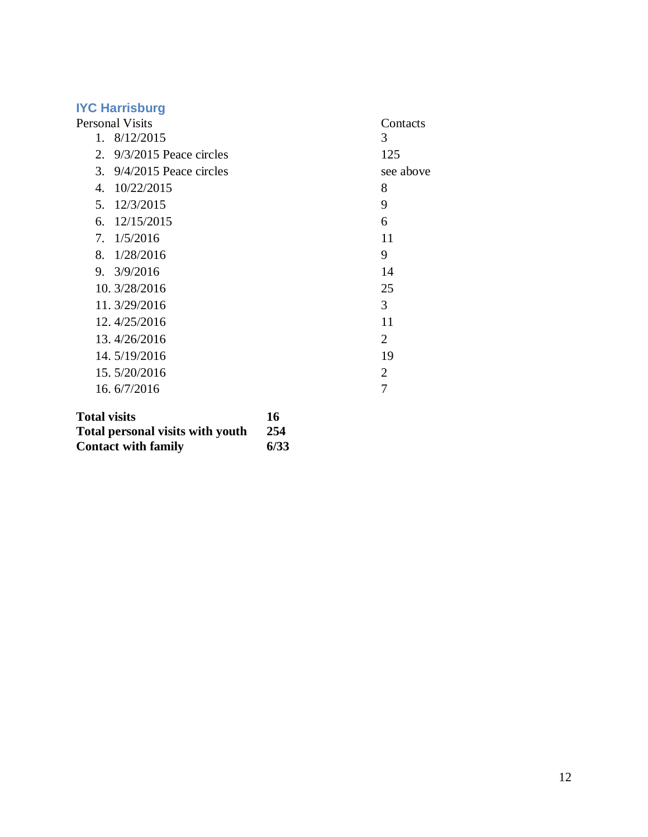<span id="page-13-0"></span>

| <b>IYC Harrisburg</b>          |           |
|--------------------------------|-----------|
| <b>Personal Visits</b>         | Contacts  |
| 1.8/12/2015                    | 3         |
| 2. $9/3/2015$ Peace circles    | 125       |
| 3. $9/4/2015$ Peace circles    | see above |
| 10/22/2015<br>$\overline{4}$ . | 8         |
| 5. 12/3/2015                   | 9         |
| 6. $12/15/2015$                | 6         |
| 7.1/5/2016                     | 11        |
| 8. $1/28/2016$                 | 9         |
| 9. 3/9/2016                    | 14        |
| 10. 3/28/2016                  | 25        |
| 11.3/29/2016                   | 3         |
| 12.4/25/2016                   | 11        |
| 13.4/26/2016                   | 2         |
| 14.5/19/2016                   | 19        |
| 15.5/20/2016                   | 2         |
| 16.6/7/2016                    | 7         |
|                                |           |

| <b>Total visits</b>                     | 16   |
|-----------------------------------------|------|
| <b>Total personal visits with youth</b> | -254 |
| <b>Contact with family</b>              | 6/33 |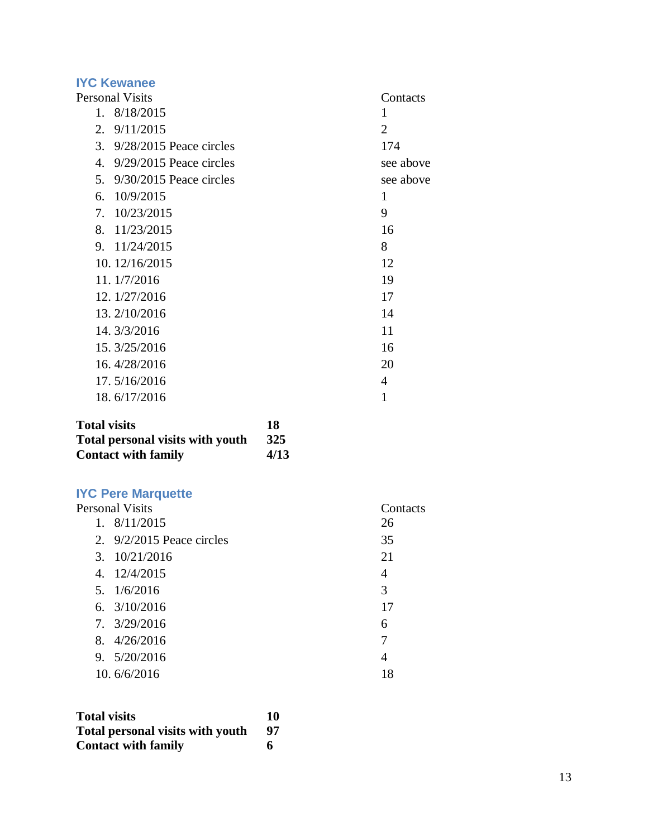<span id="page-14-0"></span>

| <b>IYC Kewanee</b>              |                |
|---------------------------------|----------------|
| <b>Personal Visits</b>          | Contacts       |
| 1.8/18/2015                     | 1              |
| 9/11/2015<br>2.                 | $\overline{2}$ |
| 3. 9/28/2015 Peace circles      | 174            |
| $9/29/2015$ Peace circles<br>4. | see above      |
| 5. 9/30/2015 Peace circles      | see above      |
| 10/9/2015<br>6.                 | 1              |
| 7. 10/23/2015                   | 9              |
| 8. 11/23/2015                   | 16             |
| 9. 11/24/2015                   | 8              |
| 10. 12/16/2015                  | 12             |
| 11.1/7/2016                     | 19             |
| 12. 1/27/2016                   | 17             |
| 13. 2/10/2016                   | 14             |
| 14. 3/3/2016                    | 11             |
| 15. 3/25/2016                   | 16             |
| 16.4/28/2016                    | 20             |
| 17.5/16/2016                    | 4              |
| 18.6/17/2016                    | 1              |

| <b>Total visits</b>                     | 18         |
|-----------------------------------------|------------|
| <b>Total personal visits with youth</b> | <b>325</b> |
| <b>Contact with family</b>              | 4/13       |

<span id="page-14-1"></span>

| <b>IYC Pere Marquette</b>   |          |
|-----------------------------|----------|
| <b>Personal Visits</b>      | Contacts |
| 1.8/11/2015                 | 26       |
| 2. $9/2/2015$ Peace circles | 35       |
| $3. \quad 10/21/2016$       | 21       |
| 4. 12/4/2015                | 4        |
| 5.1/6/2016                  | 3        |
| 6. $3/10/2016$              | 17       |
| $7. \frac{3}{29/2016}$      | 6        |
| 8. 4/26/2016                | 7        |
| 9.5/20/2016                 | 4        |
| 10.6/6/2016                 | 18       |

| <b>Total visits</b>                     | 10 |
|-----------------------------------------|----|
| <b>Total personal visits with youth</b> | 97 |
| <b>Contact with family</b>              |    |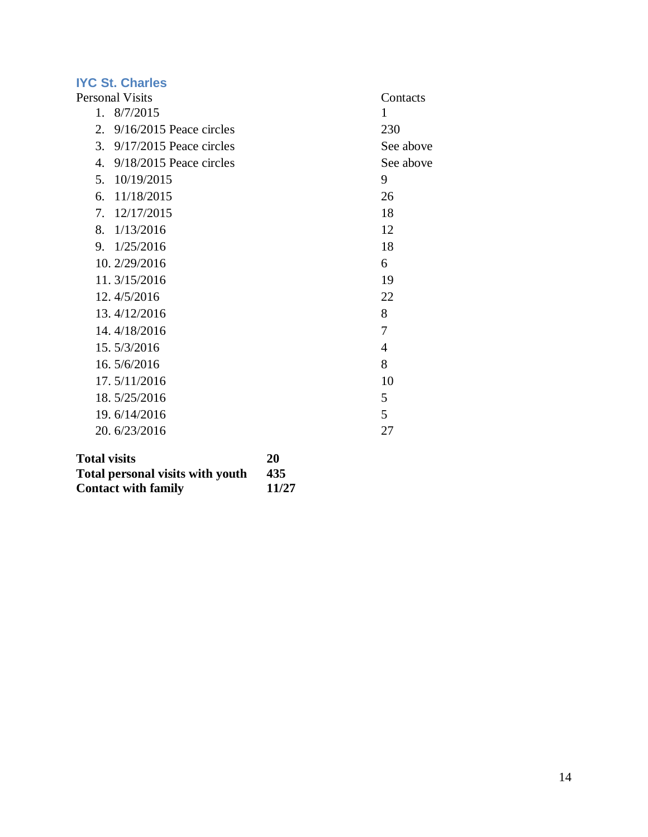# <span id="page-15-0"></span>**IYC St. Charles**

| Personal Visits |                            | Contacts  |
|-----------------|----------------------------|-----------|
| $1_{-}$         | 8/7/2015                   | 1         |
| 2.              | $9/16/2015$ Peace circles  | 230       |
| 3.              | $9/17/2015$ Peace circles  | See above |
|                 | 4. 9/18/2015 Peace circles | See above |
| 5.              | 10/19/2015                 | 9         |
| 6.              | 11/18/2015                 | 26        |
| 7.              | 12/17/2015                 | 18        |
|                 | 8. $1/13/2016$             | 12        |
|                 | 9. $1/25/2016$             | 18        |
|                 | 10. 2/29/2016              | 6         |
|                 | 11.3/15/2016               | 19        |
|                 | 12.4/5/2016                | 22        |
|                 | 13.4/12/2016               | 8         |
|                 | 14.4/18/2016               | 7         |
|                 | 15.5/3/2016                | 4         |
|                 | 16.5/6/2016                | 8         |
|                 | 17.5/11/2016               | 10        |
|                 | 18.5/25/2016               | 5         |
|                 | 19.6/14/2016               | 5         |
|                 | 20.6/23/2016               | 27        |
|                 |                            |           |

| <b>Total visits</b>                     | 20    |
|-----------------------------------------|-------|
| <b>Total personal visits with youth</b> | 435   |
| <b>Contact with family</b>              | 11/27 |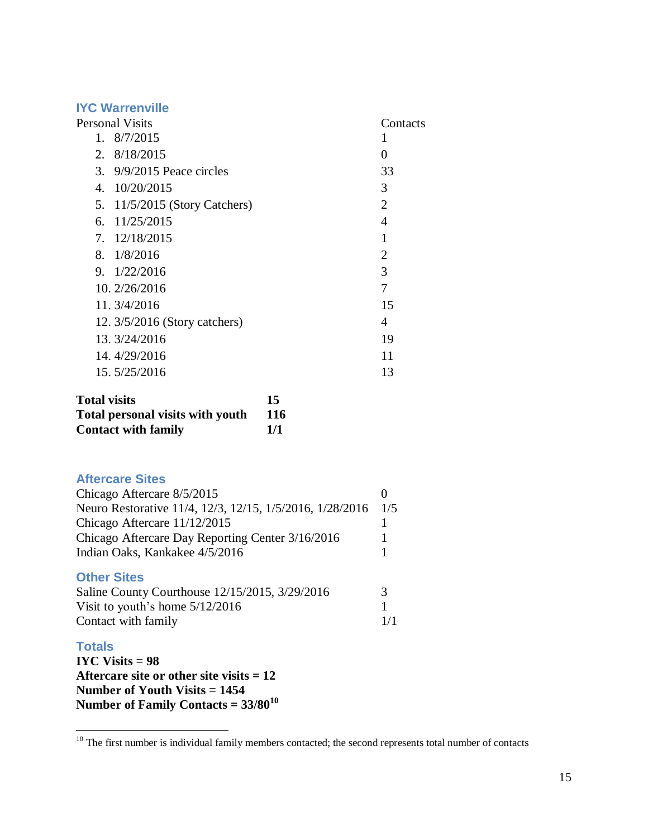### <span id="page-16-0"></span>**IYC Warrenville**

| <b>Personal Visits</b> |                               | Contacts       |
|------------------------|-------------------------------|----------------|
|                        | 1.8/7/2015                    |                |
|                        | 2. 8/18/2015                  | 0              |
|                        | 3. $9/9/2015$ Peace circles   | 33             |
| 4.                     | 10/20/2015                    | 3              |
|                        | 5. 11/5/2015 (Story Catchers) | 2              |
|                        | 6. $11/25/2015$               | 4              |
|                        | 7. 12/18/2015                 | 1              |
|                        | 8. $1/8/2016$                 | $\overline{2}$ |
|                        | 9. $1/22/2016$                | 3              |
|                        | 10. 2/26/2016                 | 7              |
|                        | 11.3/4/2016                   | 15             |
|                        | 12. 3/5/2016 (Story catchers) | 4              |
|                        | 13. 3/24/2016                 | 19             |
|                        | 14.4/29/2016                  | 11             |
|                        | 15.5/25/2016                  | 13             |
| Total via ita          | 1 E                           |                |

| Total visits                            | 15         |
|-----------------------------------------|------------|
| <b>Total personal visits with youth</b> | <b>116</b> |
| <b>Contact with family</b>              | 1/1        |

### <span id="page-16-1"></span>**Aftercare Sites**

| Chicago Aftercare 8/5/2015                               |     |
|----------------------------------------------------------|-----|
| Neuro Restorative 11/4, 12/3, 12/15, 1/5/2016, 1/28/2016 | 1/5 |
| Chicago Aftercare 11/12/2015                             |     |
| Chicago Aftercare Day Reporting Center 3/16/2016         |     |
| Indian Oaks, Kankakee 4/5/2016                           |     |
|                                                          |     |

### <span id="page-16-2"></span>**Other Sites**

| Saline County Courthouse 12/15/2015, 3/29/2016 |     |
|------------------------------------------------|-----|
| Visit to youth's home $5/12/2016$              |     |
| Contact with family                            | 1/1 |

### <span id="page-16-3"></span>**Totals**

 $\overline{a}$ 

**IYC Visits = 98 Aftercare site or other site visits = 12 Number of Youth Visits = 1454 Number of Family Contacts = 33/80<sup>10</sup>**

 $10$  The first number is individual family members contacted; the second represents total number of contacts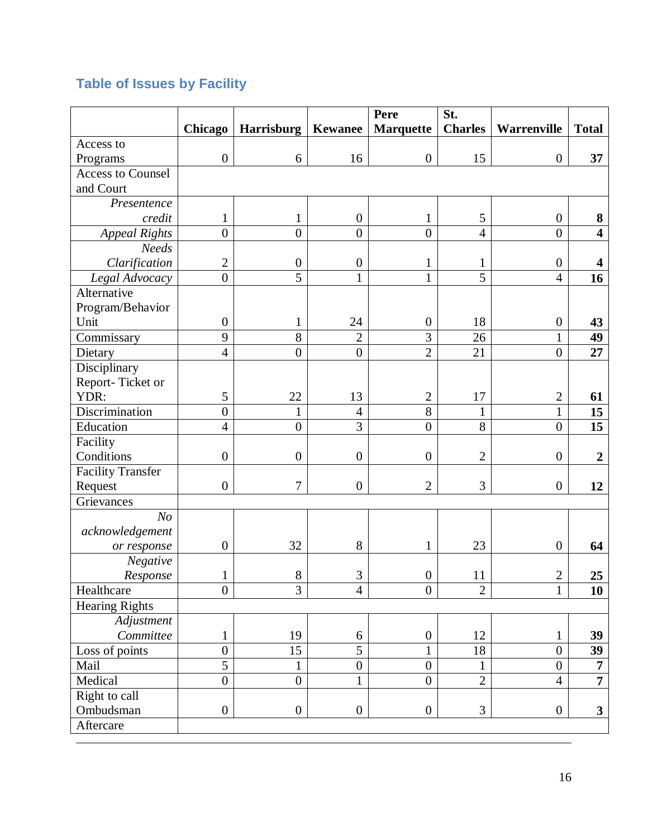# <span id="page-17-0"></span>**Table of Issues by Facility**

|                          |                  |                   |                  | Pere             | St.            |                  |                         |
|--------------------------|------------------|-------------------|------------------|------------------|----------------|------------------|-------------------------|
|                          | Chicago          | <b>Harrisburg</b> | <b>Kewanee</b>   | <b>Marquette</b> | <b>Charles</b> | Warrenville      | <b>Total</b>            |
| Access to                |                  |                   |                  |                  |                |                  |                         |
| Programs                 | $\boldsymbol{0}$ | 6                 | 16               | $\boldsymbol{0}$ | 15             | $\boldsymbol{0}$ | 37                      |
| <b>Access to Counsel</b> |                  |                   |                  |                  |                |                  |                         |
| and Court                |                  |                   |                  |                  |                |                  |                         |
| Presentence              |                  |                   |                  |                  |                |                  |                         |
| credit                   | $\mathbf{1}$     | 1                 | $\boldsymbol{0}$ | 1                | 5              | $\boldsymbol{0}$ | 8                       |
| <b>Appeal Rights</b>     | $\overline{0}$   | $\boldsymbol{0}$  | $\overline{0}$   | $\overline{0}$   | $\overline{4}$ | $\boldsymbol{0}$ | $\overline{\mathbf{4}}$ |
| Needs                    |                  |                   |                  |                  |                |                  |                         |
| Clarification            | $\overline{2}$   | $\boldsymbol{0}$  | $\boldsymbol{0}$ | $\mathbf{1}$     | 1              | $\boldsymbol{0}$ | 4                       |
| Legal Advocacy           | $\boldsymbol{0}$ | 5                 | $\mathbf{1}$     | $\mathbf{1}$     | 5              | $\overline{4}$   | 16                      |
| Alternative              |                  |                   |                  |                  |                |                  |                         |
| Program/Behavior         |                  |                   |                  |                  |                |                  |                         |
| Unit                     | $\boldsymbol{0}$ | 1                 | 24               | $\boldsymbol{0}$ | 18             | $\boldsymbol{0}$ | 43                      |
| Commissary               | 9                | 8                 | $\overline{2}$   | 3                | 26             | $\mathbf{1}$     | 49                      |
| Dietary                  | $\overline{4}$   | $\overline{0}$    | $\boldsymbol{0}$ | $\overline{2}$   | 21             | $\overline{0}$   | 27                      |
| Disciplinary             |                  |                   |                  |                  |                |                  |                         |
| Report-Ticket or         |                  |                   |                  |                  |                |                  |                         |
| YDR:                     | 5                | 22                | 13               | $\mathbf{2}$     | 17             | $\boldsymbol{2}$ | 61                      |
| Discrimination           | $\overline{0}$   | 1                 | $\overline{4}$   | 8                | 1              | $\mathbf{1}$     | 15                      |
| Education                | $\overline{4}$   | $\boldsymbol{0}$  | 3                | $\overline{0}$   | 8              | $\boldsymbol{0}$ | 15                      |
| Facility                 |                  |                   |                  |                  |                |                  |                         |
| Conditions               | $\boldsymbol{0}$ | $\boldsymbol{0}$  | $\boldsymbol{0}$ | $\boldsymbol{0}$ | $\overline{2}$ | $\boldsymbol{0}$ | $\overline{2}$          |
| <b>Facility Transfer</b> |                  |                   |                  |                  |                |                  |                         |
| Request                  | $\boldsymbol{0}$ | 7                 | $\boldsymbol{0}$ | $\overline{2}$   | 3              | $\boldsymbol{0}$ | 12                      |
| Grievances               |                  |                   |                  |                  |                |                  |                         |
| N <sub>O</sub>           |                  |                   |                  |                  |                |                  |                         |
| acknowledgement          |                  |                   |                  |                  |                |                  |                         |
| or response              | $\boldsymbol{0}$ | 32                | 8                | $\mathbf{1}$     | 23             | $\boldsymbol{0}$ | 64                      |
| <b>Negative</b>          |                  |                   |                  |                  |                |                  |                         |
| Response                 |                  | 8                 | 3                | $\overline{0}$   | 11             | $\overline{2}$   | 25                      |
| Healthcare               | $\overline{0}$   | 3                 | $\overline{4}$   | $\overline{0}$   | $\overline{2}$ | $\mathbf{1}$     | 10                      |
| <b>Hearing Rights</b>    |                  |                   |                  |                  |                |                  |                         |
| Adjustment               |                  |                   |                  |                  |                |                  |                         |
| Committee                | $\mathbf{1}$     | 19                | 6                | $\boldsymbol{0}$ | 12             | $\mathbf{1}$     | 39                      |
| Loss of points           | $\boldsymbol{0}$ | 15                | $\overline{5}$   | $\mathbf{1}$     | 18             | $\overline{0}$   | 39                      |
| Mail                     | $\overline{5}$   | 1                 | $\boldsymbol{0}$ | $\overline{0}$   | 1              | $\overline{0}$   | $\overline{7}$          |
| Medical                  | $\boldsymbol{0}$ | $\boldsymbol{0}$  | $\mathbf{1}$     | $\boldsymbol{0}$ | $\overline{2}$ | $\overline{4}$   | $\overline{7}$          |
| Right to call            |                  |                   |                  |                  |                |                  |                         |
| Ombudsman                | $\boldsymbol{0}$ | $\boldsymbol{0}$  | $\boldsymbol{0}$ | $\boldsymbol{0}$ | 3              | $\overline{0}$   | $\mathbf{3}$            |
| Aftercare                |                  |                   |                  |                  |                |                  |                         |
|                          |                  |                   |                  |                  |                |                  |                         |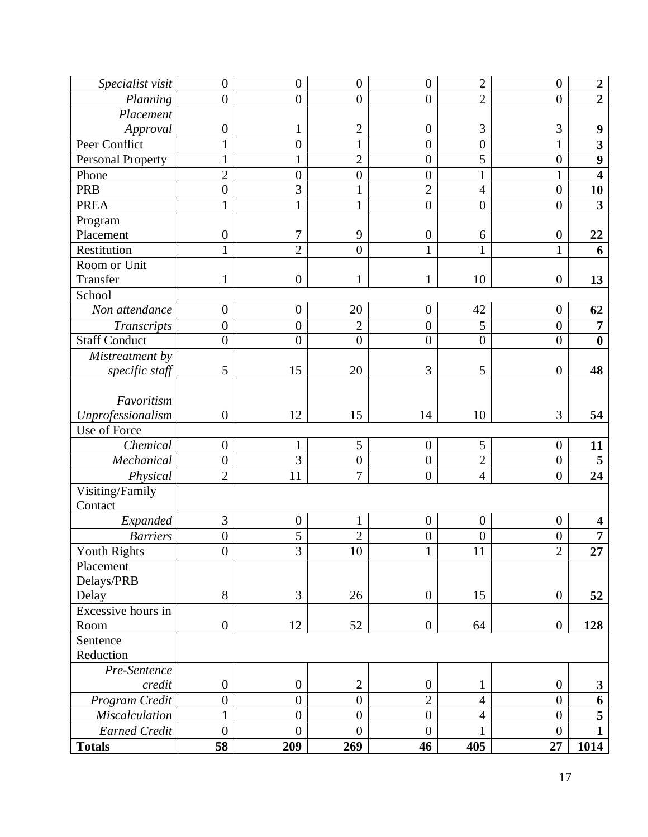| Specialist visit         | $\overline{0}$   | $\boldsymbol{0}$ | $\boldsymbol{0}$ | $\overline{0}$   | $\overline{c}$   | $\mathbf{0}$     | $\boldsymbol{2}$        |
|--------------------------|------------------|------------------|------------------|------------------|------------------|------------------|-------------------------|
| Planning                 | $\boldsymbol{0}$ | $\overline{0}$   | $\boldsymbol{0}$ | $\overline{0}$   | $\overline{2}$   | $\overline{0}$   | $\overline{2}$          |
| Placement                |                  |                  |                  |                  |                  |                  |                         |
| Approval                 | $\boldsymbol{0}$ | 1                | $\overline{2}$   | $\boldsymbol{0}$ | 3                | 3                | 9                       |
| Peer Conflict            | 1                | $\overline{0}$   | $\mathbf{1}$     | $\overline{0}$   | $\overline{0}$   | $\mathbf{1}$     | $\overline{\mathbf{3}}$ |
| <b>Personal Property</b> | 1                |                  | $\overline{2}$   | $\overline{0}$   | 5                | $\overline{0}$   | 9                       |
| Phone                    | $\overline{2}$   | $\overline{0}$   | $\boldsymbol{0}$ | $\overline{0}$   | 1                | 1                | $\overline{\mathbf{4}}$ |
| <b>PRB</b>               | $\boldsymbol{0}$ | 3                | $\mathbf{1}$     | $\overline{2}$   | $\overline{4}$   | $\overline{0}$   | 10                      |
| <b>PREA</b>              | 1                | $\mathbf{1}$     | $\mathbf{1}$     | $\overline{0}$   | $\overline{0}$   | $\overline{0}$   | $\overline{\mathbf{3}}$ |
| Program                  |                  |                  |                  |                  |                  |                  |                         |
| Placement                | $\boldsymbol{0}$ | 7                | 9                | $\boldsymbol{0}$ | 6                | $\boldsymbol{0}$ | 22                      |
| Restitution              | 1                | $\overline{2}$   | $\overline{0}$   | $\mathbf{1}$     | 1                | $\mathbf{1}$     | 6                       |
| Room or Unit             |                  |                  |                  |                  |                  |                  |                         |
| Transfer                 | 1                | $\overline{0}$   | $\mathbf{1}$     | 1                | 10               | $\boldsymbol{0}$ | 13                      |
| School                   |                  |                  |                  |                  |                  |                  |                         |
| Non attendance           | $\boldsymbol{0}$ | $\overline{0}$   | 20               | $\overline{0}$   | 42               | $\mathbf{0}$     | 62                      |
| Transcripts              | $\boldsymbol{0}$ | $\overline{0}$   | $\overline{2}$   | $\overline{0}$   | 5                | $\theta$         | $\overline{7}$          |
| <b>Staff Conduct</b>     | $\overline{0}$   | $\overline{0}$   | $\boldsymbol{0}$ | $\overline{0}$   | $\overline{0}$   | $\overline{0}$   | $\boldsymbol{0}$        |
| Mistreatment by          |                  |                  |                  |                  |                  |                  |                         |
| specific staff           | 5                | 15               | 20               | 3                | 5                | $\boldsymbol{0}$ | 48                      |
|                          |                  |                  |                  |                  |                  |                  |                         |
| Favoritism               |                  |                  |                  |                  |                  |                  |                         |
| Unprofessionalism        | $\boldsymbol{0}$ | 12               | 15               | 14               | 10               | 3                | 54                      |
| Use of Force             |                  |                  |                  |                  |                  |                  |                         |
| Chemical                 | $\boldsymbol{0}$ | 1                | 5                | $\overline{0}$   | 5                | $\boldsymbol{0}$ | 11                      |
| Mechanical               | $\overline{0}$   | $\overline{3}$   | $\overline{0}$   | $\overline{0}$   | $\overline{2}$   | $\overline{0}$   | $\overline{\mathbf{5}}$ |
| Physical                 | $\overline{2}$   | 11               | $\overline{7}$   | $\boldsymbol{0}$ | $\overline{4}$   | $\overline{0}$   | 24                      |
| Visiting/Family          |                  |                  |                  |                  |                  |                  |                         |
| Contact                  |                  |                  |                  |                  |                  |                  |                         |
| Expanded                 | 3                | $\boldsymbol{0}$ | $\mathbf{1}$     | $\boldsymbol{0}$ | $\boldsymbol{0}$ | $\boldsymbol{0}$ | $\overline{\mathbf{4}}$ |
| <b>Barriers</b>          | $\boldsymbol{0}$ | 5                | $\overline{c}$   | $\boldsymbol{0}$ | $\boldsymbol{0}$ | $\boldsymbol{0}$ | $\overline{7}$          |
| <b>Youth Rights</b>      | $\boldsymbol{0}$ | $\overline{3}$   | $\overline{10}$  | $\mathbf{1}$     | 11               | $\overline{2}$   | 27                      |
| Placement                |                  |                  |                  |                  |                  |                  |                         |
| Delays/PRB               |                  |                  |                  |                  |                  |                  |                         |
| Delay                    | 8                | 3                | 26               | $\boldsymbol{0}$ | 15               | $\boldsymbol{0}$ | 52                      |
| Excessive hours in       |                  |                  |                  |                  |                  |                  |                         |
| Room                     | $\boldsymbol{0}$ | 12               | 52               | $\boldsymbol{0}$ | 64               | $\boldsymbol{0}$ | 128                     |
| Sentence                 |                  |                  |                  |                  |                  |                  |                         |
| Reduction                |                  |                  |                  |                  |                  |                  |                         |
| Pre-Sentence             |                  |                  |                  |                  |                  |                  |                         |
| credit                   | $\boldsymbol{0}$ | $\boldsymbol{0}$ | $\mathbf{2}$     | $\boldsymbol{0}$ | 1                | $\boldsymbol{0}$ | $\mathbf{3}$            |
| Program Credit           | $\overline{0}$   | $\overline{0}$   | $\overline{0}$   | $\overline{2}$   | $\overline{4}$   | $\boldsymbol{0}$ | 6                       |
| Miscalculation           | $\mathbf{1}$     | $\boldsymbol{0}$ | $\boldsymbol{0}$ | $\boldsymbol{0}$ | $\overline{4}$   | $\boldsymbol{0}$ | 5                       |
| <b>Earned Credit</b>     | $\boldsymbol{0}$ | $\boldsymbol{0}$ | $\overline{0}$   | $\boldsymbol{0}$ | 1                | $\boldsymbol{0}$ | $\mathbf{1}$            |
| <b>Totals</b>            | 58               | 209              | 269              | 46               | 405              | 27               | 1014                    |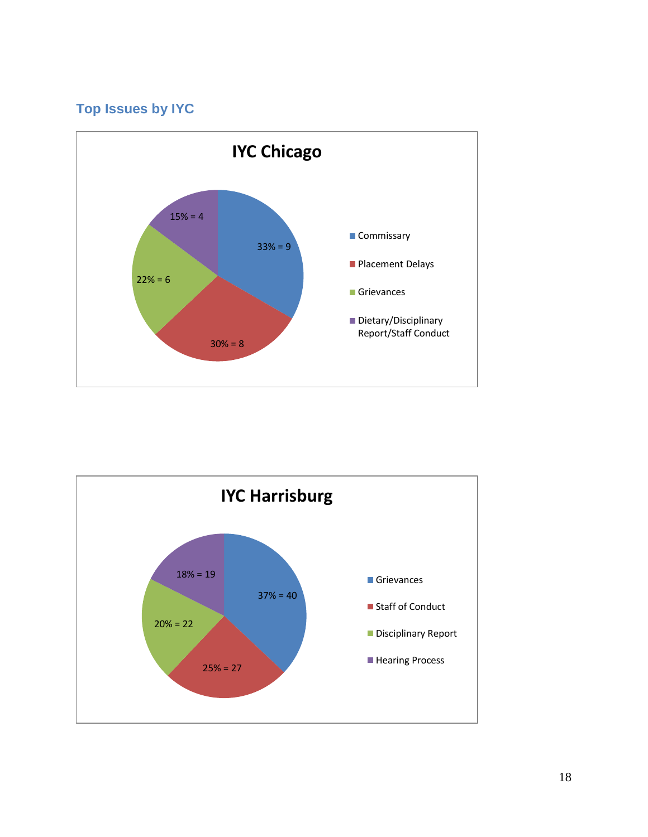### <span id="page-19-0"></span>**Top Issues by IYC**



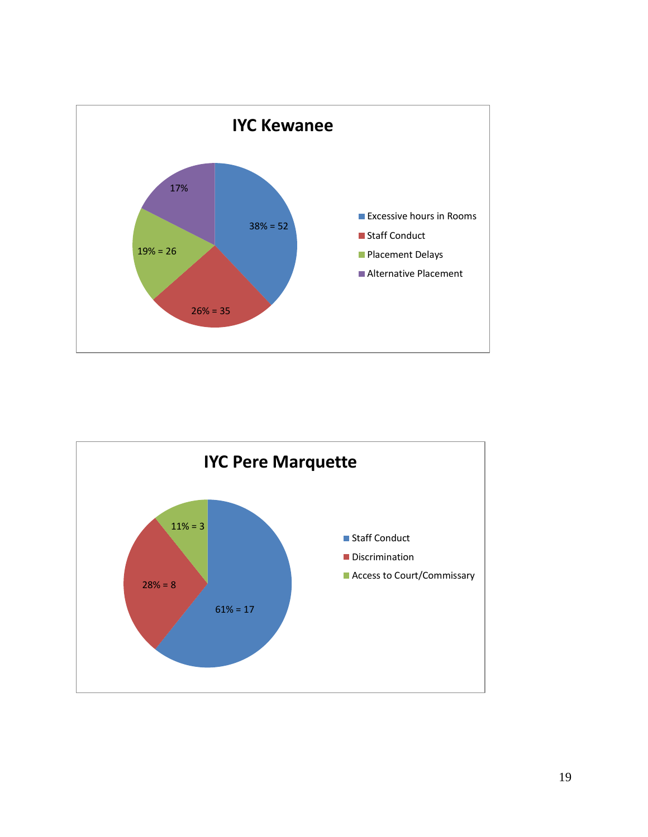

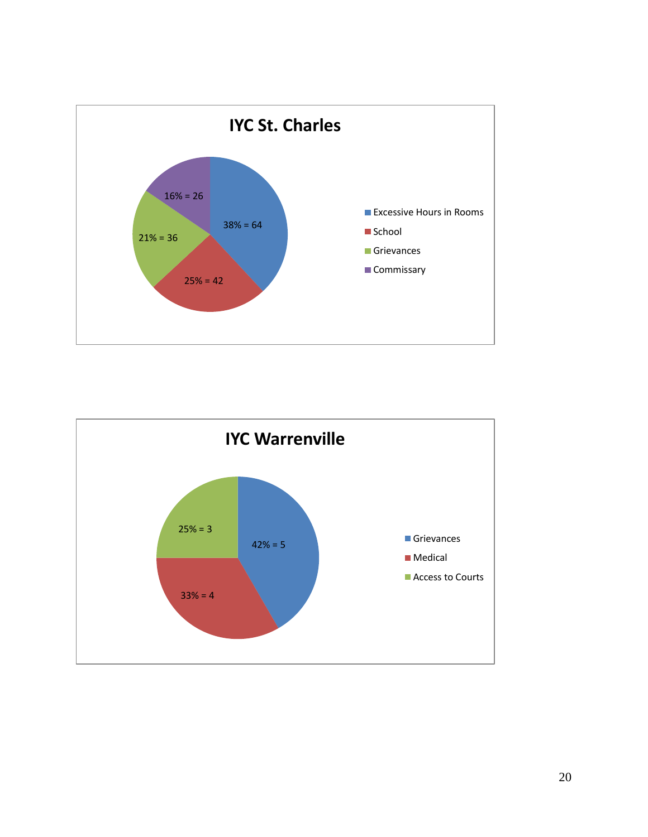

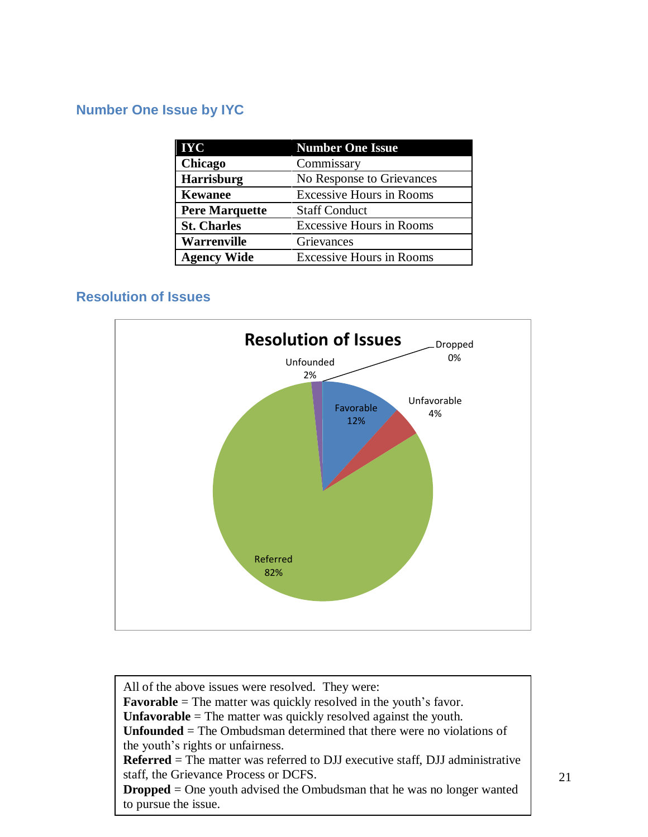### <span id="page-22-0"></span>**Number One Issue by IYC**

| <b>IYC</b>            | <b>Number One Issue</b>         |
|-----------------------|---------------------------------|
| Chicago               | Commissary                      |
| Harrisburg            | No Response to Grievances       |
| <b>Kewanee</b>        | <b>Excessive Hours in Rooms</b> |
| <b>Pere Marquette</b> | <b>Staff Conduct</b>            |
| <b>St. Charles</b>    | <b>Excessive Hours in Rooms</b> |
| <b>Warrenville</b>    | Grievances                      |
| <b>Agency Wide</b>    | <b>Excessive Hours in Rooms</b> |

### <span id="page-22-1"></span>**Resolution of Issues**



All of the above issues were resolved. They were: **Favorable** = The matter was quickly resolved in the youth's favor. **Unfavorable** = The matter was quickly resolved against the youth. **Unfounded** = The Ombudsman determined that there were no violations of the youth's rights or unfairness. **Referred** = The matter was referred to DJJ executive staff, DJJ administrative staff, the Grievance Process or DCFS. **Dropped** = One youth advised the Ombudsman that he was no longer wanted to pursue the issue.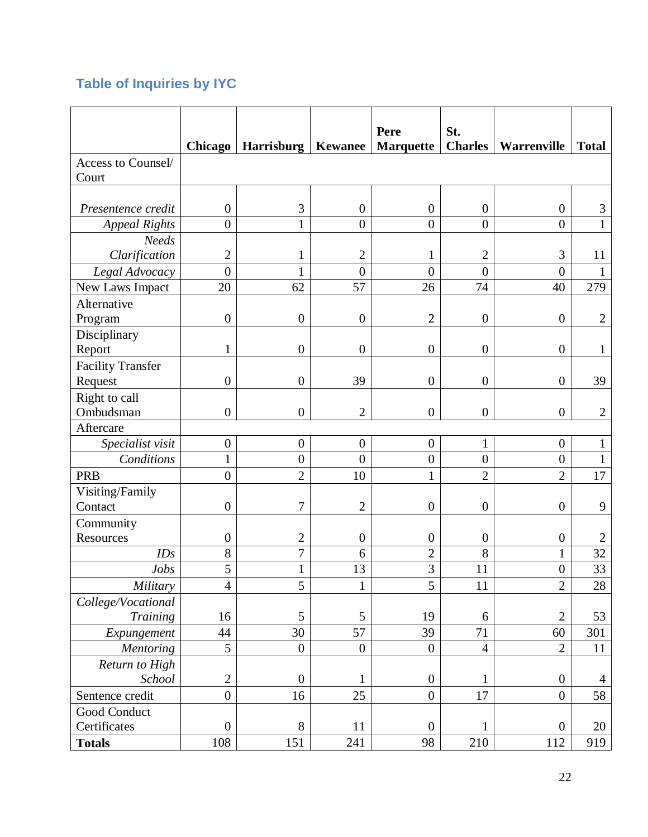# <span id="page-23-0"></span>**Table of Inquiries by IYC**

|                                 | <b>Chicago</b>   | Harrisburg       |                  | Pere<br><b>Kewanee</b>   Marquette | St.<br><b>Charles</b> | Warrenville      | <b>Total</b>         |
|---------------------------------|------------------|------------------|------------------|------------------------------------|-----------------------|------------------|----------------------|
| Access to Counsel/<br>Court     |                  |                  |                  |                                    |                       |                  |                      |
|                                 |                  |                  |                  |                                    |                       |                  |                      |
| Presentence credit              | $\boldsymbol{0}$ | 3                | $\boldsymbol{0}$ | $\boldsymbol{0}$                   | $\boldsymbol{0}$      | $\boldsymbol{0}$ | 3                    |
| <b>Appeal Rights</b>            | $\overline{0}$   | $\mathbf{1}$     | $\overline{0}$   | $\overline{0}$                     | $\overline{0}$        | $\overline{0}$   | $\mathbf{1}$         |
| <b>Needs</b>                    |                  |                  |                  |                                    |                       |                  |                      |
| Clarification                   | $\overline{2}$   | 1                | $\mathbf{2}$     | 1                                  | $\overline{2}$        | 3                | 11                   |
| Legal Advocacy                  | $\overline{0}$   |                  | $\overline{0}$   | $\overline{0}$                     | $\overline{0}$        | $\overline{0}$   |                      |
| New Laws Impact                 | 20               | 62               | 57               | 26                                 | 74                    | 40               | 279                  |
| Alternative                     |                  |                  |                  |                                    |                       |                  |                      |
| Program                         | $\boldsymbol{0}$ | $\boldsymbol{0}$ | $\boldsymbol{0}$ | $\mathbf{2}$                       | $\boldsymbol{0}$      | $\boldsymbol{0}$ | $\overline{2}$       |
| Disciplinary                    |                  |                  |                  |                                    |                       |                  |                      |
| Report                          | 1                | $\boldsymbol{0}$ | $\boldsymbol{0}$ | $\boldsymbol{0}$                   | $\boldsymbol{0}$      | $\boldsymbol{0}$ | $\mathbf{1}$         |
| <b>Facility Transfer</b>        |                  |                  |                  |                                    |                       |                  |                      |
| Request                         | $\boldsymbol{0}$ | $\overline{0}$   | 39               | $\boldsymbol{0}$                   | $\boldsymbol{0}$      | $\boldsymbol{0}$ | 39                   |
| Right to call                   |                  |                  |                  |                                    |                       |                  |                      |
| Ombudsman                       | $\overline{0}$   | $\boldsymbol{0}$ | $\overline{2}$   | $\overline{0}$                     | $\boldsymbol{0}$      | $\boldsymbol{0}$ | $\overline{2}$       |
| Aftercare                       |                  |                  |                  |                                    |                       |                  |                      |
| Specialist visit                | $\boldsymbol{0}$ | $\boldsymbol{0}$ | $\boldsymbol{0}$ | $\boldsymbol{0}$                   | $\mathbf{1}$          | $\boldsymbol{0}$ | 1                    |
| Conditions                      | $\mathbf{1}$     | $\overline{0}$   | $\overline{0}$   | $\boldsymbol{0}$                   | $\overline{0}$        | $\boldsymbol{0}$ | $\mathbf{1}$         |
| <b>PRB</b>                      | $\overline{0}$   | $\overline{2}$   | 10               | $\mathbf{1}$                       | $\overline{2}$        | $\overline{2}$   | 17                   |
| Visiting/Family                 |                  |                  |                  |                                    |                       |                  |                      |
| Contact                         | $\boldsymbol{0}$ | 7                | $\overline{2}$   | $\boldsymbol{0}$                   | $\boldsymbol{0}$      | $\boldsymbol{0}$ | 9                    |
| Community                       |                  |                  |                  |                                    |                       |                  |                      |
| Resources                       | $\boldsymbol{0}$ | $\overline{2}$   | $\boldsymbol{0}$ | $\boldsymbol{0}$                   | $\boldsymbol{0}$      | $\boldsymbol{0}$ | $\overline{2}$       |
| IDs                             | 8                | $\overline{7}$   | 6                | $\overline{2}$                     | 8                     | $\mathbf{1}$     | 32                   |
| <b>Jobs</b>                     | 5                | $\mathbf{1}$     | 13               | 3                                  | 11                    | $\boldsymbol{0}$ | 33                   |
| Military                        | $\overline{4}$   | 5                | $\mathbf{1}$     | 5                                  | 11                    | $\overline{2}$   | 28                   |
| College/Vocational              |                  |                  |                  |                                    |                       |                  |                      |
| Training                        | 16               | 5                | 5                | 19                                 | 6                     | $\mathbf{2}$     | 53                   |
| Expungement                     | 44<br>5          | 30               | 57               | 39                                 | 71                    | 60               | 301                  |
| <b>Mentoring</b>                |                  | $\boldsymbol{0}$ | $\boldsymbol{0}$ | $\boldsymbol{0}$                   | $\overline{4}$        | $\mathbf{2}$     | 11                   |
| Return to High<br>School        | $\overline{2}$   | $\overline{0}$   | $\mathbf{1}$     | $\boldsymbol{0}$                   | 1                     | $\boldsymbol{0}$ |                      |
|                                 | $\boldsymbol{0}$ | 16               | 25               | $\boldsymbol{0}$                   | $17\,$                | $\boldsymbol{0}$ | $\overline{4}$<br>58 |
| Sentence credit<br>Good Conduct |                  |                  |                  |                                    |                       |                  |                      |
| Certificates                    | $\boldsymbol{0}$ | $8\,$            | 11               | $\boldsymbol{0}$                   | $\mathbf{1}$          | $\boldsymbol{0}$ | 20                   |
| <b>Totals</b>                   | 108              | 151              | 241              | 98                                 | 210                   | 112              | 919                  |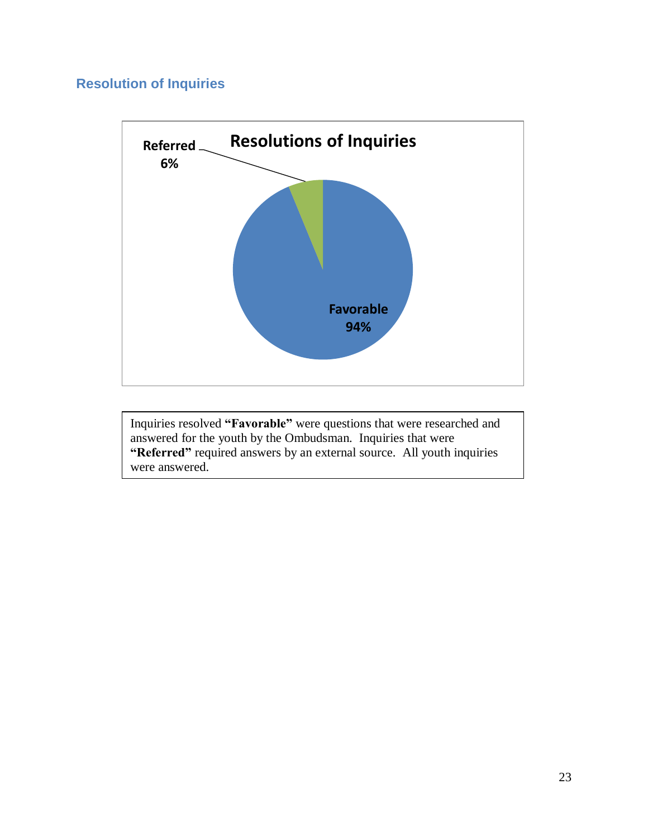### <span id="page-24-0"></span>**Resolution of Inquiries**



Inquiries resolved **"Favorable"** were questions that were researched and answered for the youth by the Ombudsman. Inquiries that were "Referred" required answers by an external source. All youth inquiries were answered.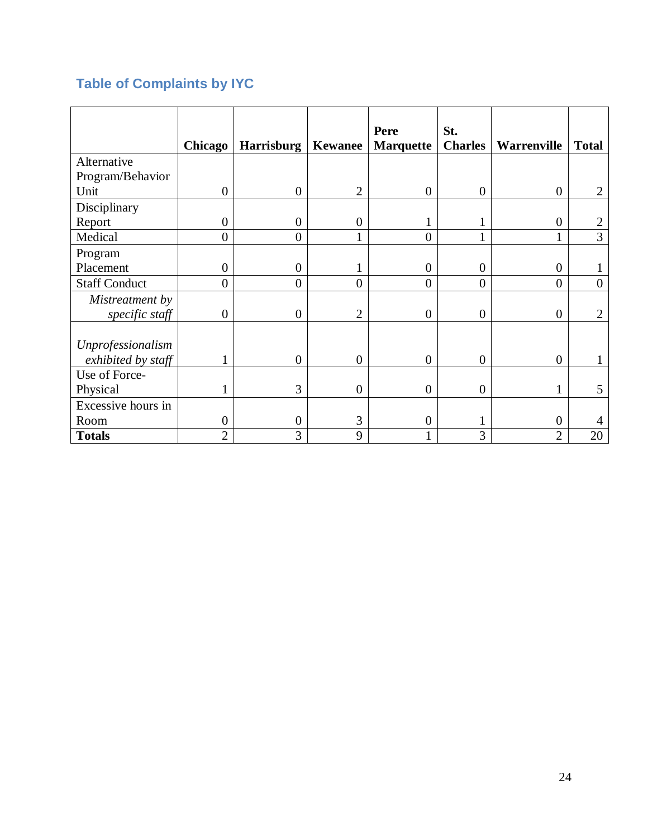# <span id="page-25-0"></span>**Table of Complaints by IYC**

|                      |                  |                   |                  | Pere             | St.            |                    |                |
|----------------------|------------------|-------------------|------------------|------------------|----------------|--------------------|----------------|
|                      | <b>Chicago</b>   | <b>Harrisburg</b> | Kewanee          | <b>Marquette</b> | <b>Charles</b> | <b>Warrenville</b> | <b>Total</b>   |
| Alternative          |                  |                   |                  |                  |                |                    |                |
| Program/Behavior     |                  |                   |                  |                  |                |                    |                |
| Unit                 | $\overline{0}$   | $\boldsymbol{0}$  | $\overline{2}$   | $\overline{0}$   | $\overline{0}$ | $\theta$           | $\overline{2}$ |
| Disciplinary         |                  |                   |                  |                  |                |                    |                |
| Report               | $\boldsymbol{0}$ | $\overline{0}$    | $\boldsymbol{0}$ |                  |                | $\boldsymbol{0}$   |                |
| Medical              | $\overline{0}$   | $\overline{0}$    |                  | $\overline{0}$   |                | 1                  | 3              |
| Program              |                  |                   |                  |                  |                |                    |                |
| Placement            | $\boldsymbol{0}$ | $\overline{0}$    |                  | $\overline{0}$   | $\overline{0}$ | $\theta$           |                |
| <b>Staff Conduct</b> | $\overline{0}$   | $\overline{0}$    | $\overline{0}$   | $\overline{0}$   | $\overline{0}$ | $\overline{0}$     | $\overline{0}$ |
| Mistreatment by      |                  |                   |                  |                  |                |                    |                |
| specific staff       | $\overline{0}$   | $\boldsymbol{0}$  | $\overline{2}$   | $\overline{0}$   | $\overline{0}$ | $\theta$           | 2              |
|                      |                  |                   |                  |                  |                |                    |                |
| Unprofessionalism    |                  |                   |                  |                  |                |                    |                |
| exhibited by staff   |                  | $\Omega$          | $\overline{0}$   | $\theta$         | $\overline{0}$ | $\overline{0}$     |                |
| Use of Force-        |                  |                   |                  |                  |                |                    |                |
| Physical             |                  | 3                 | $\boldsymbol{0}$ | $\overline{0}$   | $\overline{0}$ |                    | 5              |
| Excessive hours in   |                  |                   |                  |                  |                |                    |                |
| Room                 | $\boldsymbol{0}$ | $\overline{0}$    | 3                | 0                |                | $\boldsymbol{0}$   | 4              |
| <b>Totals</b>        | $\overline{2}$   | 3                 | 9                |                  | 3              | $\overline{2}$     | 20             |